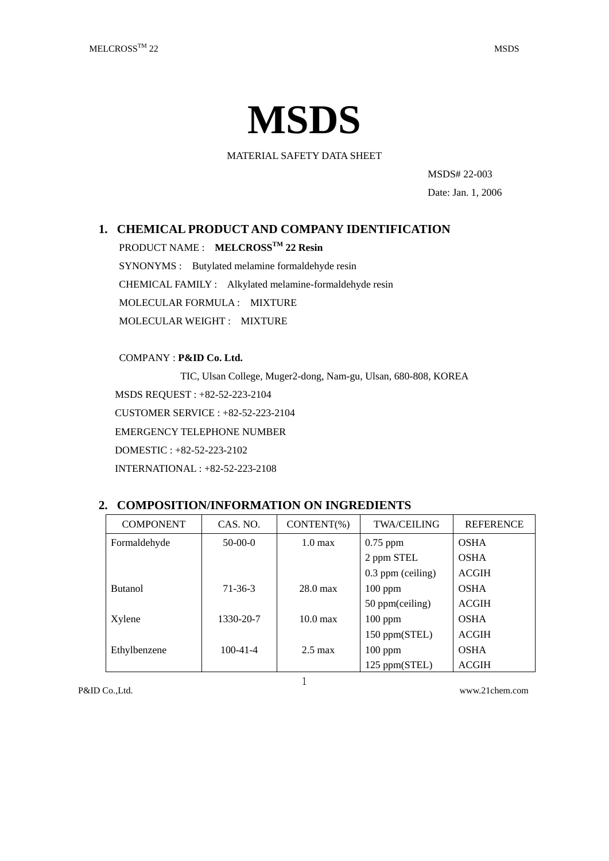

MATERIAL SAFETY DATA SHEET

MSDS# 22-003

Date: Jan. 1, 2006

# **1. CHEMICAL PRODUCT AND COMPANY IDENTIFICATION**

PRODUCT NAME : **MELCROSSTM 22 Resin**

SYNONYMS : Butylated melamine formaldehyde resin CHEMICAL FAMILY : Alkylated melamine-formaldehyde resin MOLECULAR FORMULA : MIXTURE MOLECULAR WEIGHT : MIXTURE

COMPANY : **P&ID Co. Ltd.**

TIC, Ulsan College, Muger2-dong, Nam-gu, Ulsan, 680-808, KOREA MSDS REQUEST : +82-52-223-2104 CUSTOMER SERVICE : +82-52-223-2104 EMERGENCY TELEPHONE NUMBER DOMESTIC : +82-52-223-2102 INTERNATIONAL : +82-52-223-2108

| <b>COMPONENT</b> | CAS. NO.       | $CONTENT(\%)$      | <b>TWA/CEILING</b>  | <b>REFERENCE</b> |
|------------------|----------------|--------------------|---------------------|------------------|
| Formaldehyde     | $50-00-0$      | $1.0 \text{ max}$  | $0.75$ ppm          | <b>OSHA</b>      |
|                  |                |                    | 2 ppm STEL          | <b>OSHA</b>      |
|                  |                |                    | $0.3$ ppm (ceiling) | <b>ACGIH</b>     |
| <b>Butanol</b>   | $71-36-3$      | $28.0 \text{ max}$ | $100$ ppm           | <b>OSHA</b>      |
|                  |                |                    | 50 ppm(ceiling)     | <b>ACGIH</b>     |
| Xylene           | 1330-20-7      | $10.0 \text{ max}$ | $100$ ppm           | <b>OSHA</b>      |
|                  |                |                    | 150 ppm(STEL)       | <b>ACGIH</b>     |
| Ethylbenzene     | $100 - 41 - 4$ | $2.5 \text{ max}$  | $100$ ppm           | <b>OSHA</b>      |
|                  |                |                    | 125 ppm(STEL)       | <b>ACGIH</b>     |

# **2. COMPOSITION/INFORMATION ON INGREDIENTS**

1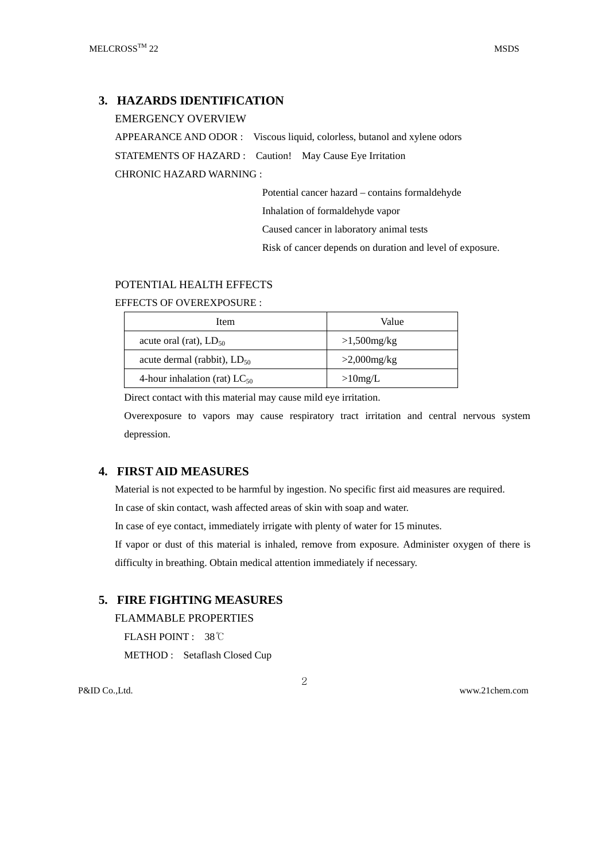# **3. HAZARDS IDENTIFICATION**

EMERGENCY OVERVIEW

APPEARANCE AND ODOR : Viscous liquid, colorless, butanol and xylene odors STATEMENTS OF HAZARD : Caution! May Cause Eye Irritation CHRONIC HAZARD WARNING :

Potential cancer hazard – contains formaldehyde

Inhalation of formaldehyde vapor

Caused cancer in laboratory animal tests

Risk of cancer depends on duration and level of exposure.

# POTENTIAL HEALTH EFFECTS

EFFECTS OF OVEREXPOSURE :

| Item                              | Value          |  |
|-----------------------------------|----------------|--|
| acute oral (rat), $LD_{50}$       | $>1,500$ mg/kg |  |
| acute dermal (rabbit), $LD_{50}$  | $>2,000$ mg/kg |  |
| 4-hour inhalation (rat) $LC_{50}$ | $>10$ mg/L     |  |

Direct contact with this material may cause mild eye irritation.

Overexposure to vapors may cause respiratory tract irritation and central nervous system depression.

# **4. FIRST AID MEASURES**

Material is not expected to be harmful by ingestion. No specific first aid measures are required.

In case of skin contact, wash affected areas of skin with soap and water.

In case of eye contact, immediately irrigate with plenty of water for 15 minutes.

If vapor or dust of this material is inhaled, remove from exposure. Administer oxygen of there is difficulty in breathing. Obtain medical attention immediately if necessary.

# **5. FIRE FIGHTING MEASURES**

FLAMMABLE PROPERTIES

FLASH POINT : 38℃

METHOD : Setaflash Closed Cup

2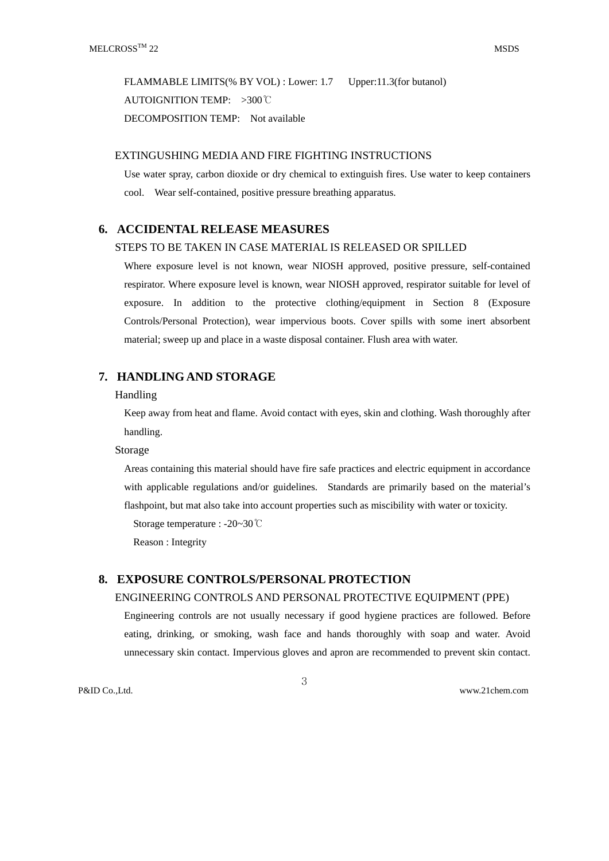FLAMMABLE LIMITS(% BY VOL) : Lower: 1.7 Upper:11.3(for butanol) AUTOIGNITION TEMP: >300℃ DECOMPOSITION TEMP: Not available

### EXTINGUSHING MEDIA AND FIRE FIGHTING INSTRUCTIONS

Use water spray, carbon dioxide or dry chemical to extinguish fires. Use water to keep containers cool. Wear self-contained, positive pressure breathing apparatus.

## **6. ACCIDENTAL RELEASE MEASURES**

#### STEPS TO BE TAKEN IN CASE MATERIAL IS RELEASED OR SPILLED

Where exposure level is not known, wear NIOSH approved, positive pressure, self-contained respirator. Where exposure level is known, wear NIOSH approved, respirator suitable for level of exposure. In addition to the protective clothing/equipment in Section 8 (Exposure Controls/Personal Protection), wear impervious boots. Cover spills with some inert absorbent material; sweep up and place in a waste disposal container. Flush area with water.

# **7. HANDLING AND STORAGE**

#### Handling

Keep away from heat and flame. Avoid contact with eyes, skin and clothing. Wash thoroughly after handling.

#### Storage

Areas containing this material should have fire safe practices and electric equipment in accordance with applicable regulations and/or guidelines. Standards are primarily based on the material's flashpoint, but mat also take into account properties such as miscibility with water or toxicity.

Storage temperature : -20~30℃

Reason : Integrity

#### **8. EXPOSURE CONTROLS/PERSONAL PROTECTION**

## ENGINEERING CONTROLS AND PERSONAL PROTECTIVE EQUIPMENT (PPE)

Engineering controls are not usually necessary if good hygiene practices are followed. Before eating, drinking, or smoking, wash face and hands thoroughly with soap and water. Avoid unnecessary skin contact. Impervious gloves and apron are recommended to prevent skin contact.

3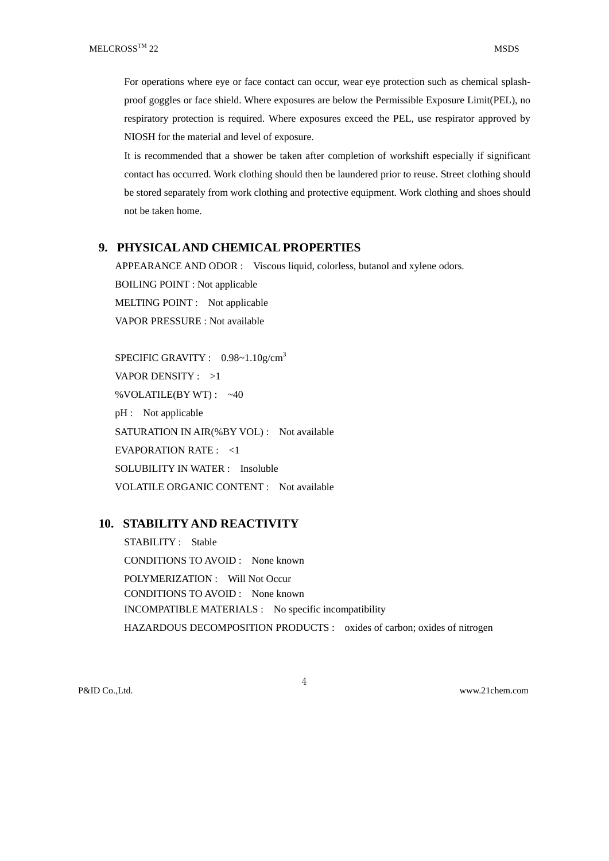For operations where eye or face contact can occur, wear eye protection such as chemical splashproof goggles or face shield. Where exposures are below the Permissible Exposure Limit(PEL), no respiratory protection is required. Where exposures exceed the PEL, use respirator approved by NIOSH for the material and level of exposure.

It is recommended that a shower be taken after completion of workshift especially if significant contact has occurred. Work clothing should then be laundered prior to reuse. Street clothing should be stored separately from work clothing and protective equipment. Work clothing and shoes should not be taken home.

### **9. PHYSICAL AND CHEMICAL PROPERTIES**

APPEARANCE AND ODOR : Viscous liquid, colorless, butanol and xylene odors. BOILING POINT : Not applicable MELTING POINT : Not applicable VAPOR PRESSURE : Not available

SPECIFIC GRAVITY : 0.98~1.10g/cm<sup>3</sup> VAPOR DENSITY : >1 %VOLATILE(BY WT) : ~40 pH : Not applicable SATURATION IN AIR(%BY VOL) : Not available EVAPORATION RATE : <1 SOLUBILITY IN WATER : Insoluble VOLATILE ORGANIC CONTENT : Not available

## **10. STABILITY AND REACTIVITY**

STABILITY : Stable CONDITIONS TO AVOID : None known POLYMERIZATION : Will Not Occur CONDITIONS TO AVOID : None known INCOMPATIBLE MATERIALS : No specific incompatibility HAZARDOUS DECOMPOSITION PRODUCTS : oxides of carbon; oxides of nitrogen

4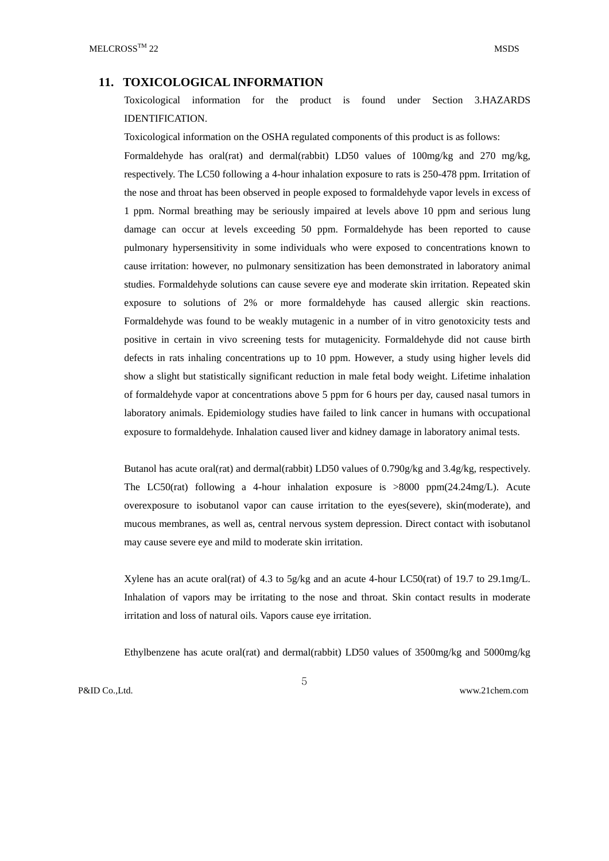#### **11. TOXICOLOGICAL INFORMATION**

Toxicological information for the product is found under Section 3.HAZARDS IDENTIFICATION.

Toxicological information on the OSHA regulated components of this product is as follows: Formaldehyde has oral(rat) and dermal(rabbit) LD50 values of 100mg/kg and 270 mg/kg, respectively. The LC50 following a 4-hour inhalation exposure to rats is 250-478 ppm. Irritation of the nose and throat has been observed in people exposed to formaldehyde vapor levels in excess of 1 ppm. Normal breathing may be seriously impaired at levels above 10 ppm and serious lung damage can occur at levels exceeding 50 ppm. Formaldehyde has been reported to cause pulmonary hypersensitivity in some individuals who were exposed to concentrations known to cause irritation: however, no pulmonary sensitization has been demonstrated in laboratory animal studies. Formaldehyde solutions can cause severe eye and moderate skin irritation. Repeated skin exposure to solutions of 2% or more formaldehyde has caused allergic skin reactions. Formaldehyde was found to be weakly mutagenic in a number of in vitro genotoxicity tests and positive in certain in vivo screening tests for mutagenicity. Formaldehyde did not cause birth defects in rats inhaling concentrations up to 10 ppm. However, a study using higher levels did show a slight but statistically significant reduction in male fetal body weight. Lifetime inhalation of formaldehyde vapor at concentrations above 5 ppm for 6 hours per day, caused nasal tumors in laboratory animals. Epidemiology studies have failed to link cancer in humans with occupational exposure to formaldehyde. Inhalation caused liver and kidney damage in laboratory animal tests.

Butanol has acute oral(rat) and dermal(rabbit) LD50 values of 0.790g/kg and 3.4g/kg, respectively. The LC50(rat) following a 4-hour inhalation exposure is >8000 ppm(24.24mg/L). Acute overexposure to isobutanol vapor can cause irritation to the eyes(severe), skin(moderate), and mucous membranes, as well as, central nervous system depression. Direct contact with isobutanol may cause severe eye and mild to moderate skin irritation.

Xylene has an acute oral(rat) of 4.3 to 5g/kg and an acute 4-hour LC50(rat) of 19.7 to 29.1mg/L. Inhalation of vapors may be irritating to the nose and throat. Skin contact results in moderate irritation and loss of natural oils. Vapors cause eye irritation.

Ethylbenzene has acute oral(rat) and dermal(rabbit) LD50 values of 3500mg/kg and 5000mg/kg

5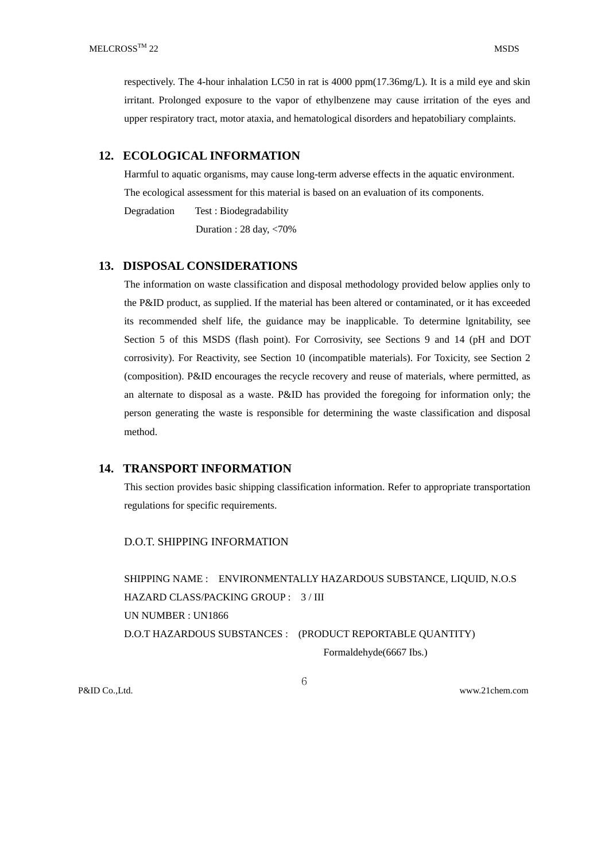respectively. The 4-hour inhalation LC50 in rat is 4000 ppm(17.36mg/L). It is a mild eye and skin irritant. Prolonged exposure to the vapor of ethylbenzene may cause irritation of the eyes and upper respiratory tract, motor ataxia, and hematological disorders and hepatobiliary complaints.

# **12. ECOLOGICAL INFORMATION**

Harmful to aquatic organisms, may cause long-term adverse effects in the aquatic environment. The ecological assessment for this material is based on an evaluation of its components.

Degradation Test : Biodegradability

Duration : 28 day, <70%

# **13. DISPOSAL CONSIDERATIONS**

The information on waste classification and disposal methodology provided below applies only to the P&ID product, as supplied. If the material has been altered or contaminated, or it has exceeded its recommended shelf life, the guidance may be inapplicable. To determine lgnitability, see Section 5 of this MSDS (flash point). For Corrosivity, see Sections 9 and 14 (pH and DOT corrosivity). For Reactivity, see Section 10 (incompatible materials). For Toxicity, see Section 2 (composition). P&ID encourages the recycle recovery and reuse of materials, where permitted, as an alternate to disposal as a waste. P&ID has provided the foregoing for information only; the person generating the waste is responsible for determining the waste classification and disposal method.

## **14. TRANSPORT INFORMATION**

This section provides basic shipping classification information. Refer to appropriate transportation regulations for specific requirements.

## D.O.T. SHIPPING INFORMATION

SHIPPING NAME : ENVIRONMENTALLY HAZARDOUS SUBSTANCE, LIQUID, N.O.S HAZARD CLASS/PACKING GROUP : 3 / III UN NUMBER : UN1866 D.O.T HAZARDOUS SUBSTANCES : (PRODUCT REPORTABLE QUANTITY)

Formaldehyde(6667 Ibs.)

6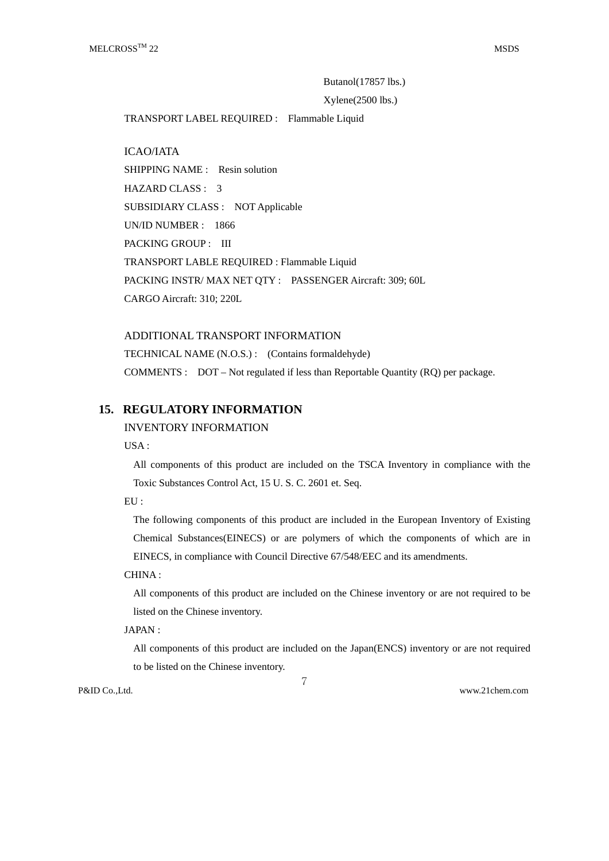## Butanol(17857 lbs.)

#### Xylene(2500 lbs.)

TRANSPORT LABEL REQUIRED : Flammable Liquid

ICAO/IATA SHIPPING NAME : Resin solution HAZARD CLASS : 3 SUBSIDIARY CLASS : NOT Applicable UN/ID NUMBER : 1866 PACKING GROUP : III TRANSPORT LABLE REQUIRED : Flammable Liquid PACKING INSTR/ MAX NET QTY : PASSENGER Aircraft: 309; 60L CARGO Aircraft: 310; 220L

ADDITIONAL TRANSPORT INFORMATION TECHNICAL NAME (N.O.S.) : (Contains formaldehyde) COMMENTS : DOT – Not regulated if less than Reportable Quantity (RQ) per package.

# **15. REGULATORY INFORMATION**

#### INVENTORY INFORMATION

 $IISA$ 

All components of this product are included on the TSCA Inventory in compliance with the Toxic Substances Control Act, 15 U. S. C. 2601 et. Seq.

EU :

The following components of this product are included in the European Inventory of Existing Chemical Substances(EINECS) or are polymers of which the components of which are in EINECS, in compliance with Council Directive 67/548/EEC and its amendments.

CHINA :

All components of this product are included on the Chinese inventory or are not required to be listed on the Chinese inventory.

### JAPAN :

All components of this product are included on the Japan(ENCS) inventory or are not required to be listed on the Chinese inventory.

7